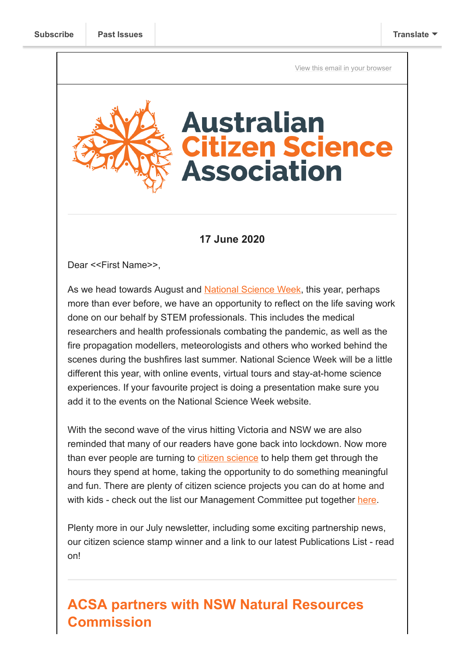[View this email in your browser](https://mailchi.mp/01038f7c8808/acsa-news-partnerships-papers-presentations-and-publications?e=[UNIQID])

# **Australian Citizen Science Association**

### **17 June 2020**

Dear <<First Name>>,

As we head towards August and [National Science Week](https://www.scienceweek.net.au/), this year, perhaps more than ever before, we have an opportunity to reflect on the life saving work done on our behalf by STEM professionals. This includes the medical researchers and health professionals combating the pandemic, as well as the fire propagation modellers, meteorologists and others who worked behind the scenes during the bushfires last summer. National Science Week will be a little different this year, with online events, virtual tours and stay-at-home science experiences. If your favourite project is doing a presentation make sure you add it to the events on the National Science Week website.

With the second wave of the virus hitting Victoria and NSW we are also reminded that many of our readers have gone back into lockdown. Now more than ever people are turning to [citizen science](https://phys.org/news/2020-07-birdwatching-tenfold-lockdown-dont-huge.html) to help them get through the hours they spend at home, taking the opportunity to do something meaningful and fun. There are plenty of citizen science projects you can do at home and with kids - check out the list our Management Committee put together [here](https://citizenscience.org.au/2020/04/20/citizen-science-and-covid-19/).

Plenty more in our July newsletter, including some exciting partnership news, our citizen science stamp winner and a link to our latest Publications List - read on!

# **ACSA partners with NSW Natural Resources Commission**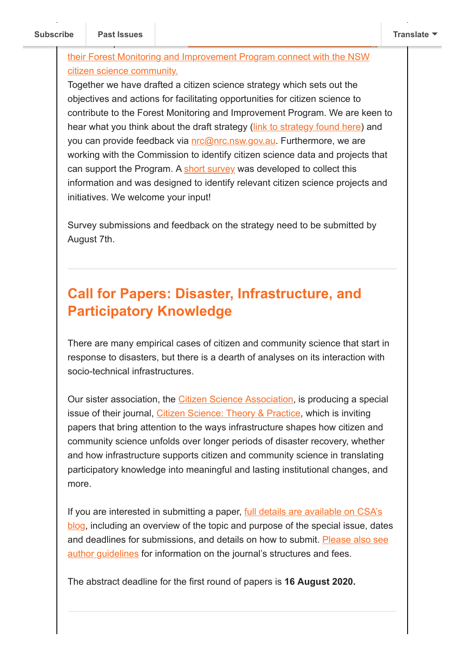#### their Forest Monitoring and Improvement Program connect with the NSW citizen science community.

Together we have drafted a citizen science strategy which sets out the objectives and actions for facilitating opportunities for citizen science to contribute to the Forest Monitoring and Improvement Program. We are keen to hear what you think about the draft strategy ([link to strategy found here](https://www.nrc.nsw.gov.au/forest-monitoring)) and you can provide feedback via [nrc@nrc.nsw.gov.au.](mailto:nrc@nrc.nsw.gov.au) Furthermore, we are working with the Commission to identify citizen science data and projects that can support the Program. A [short survey](https://www.surveymonkey.com/r/NX335KB) was developed to collect this information and was designed to identify relevant citizen science projects and initiatives. We welcome your input!

Survey submissions and feedback on the strategy need to be submitted by August 7th.

## **Call for Papers: Disaster, Infrastructure, and Participatory Knowledge**

There are many empirical cases of citizen and community science that start in response to disasters, but there is a dearth of analyses on its interaction with socio-technical infrastructures.

Our sister association, the [Citizen Science Association](https://www.citizenscience.org/), is producing a special issue of their journal, [Citizen Science: Theory & Practice](https://u2306505.ct.sendgrid.net/ls/click?upn=M3V7pKe308SQRDM8wYnXBcifmAFH-2B7vlxcUZMDbwP0G4tH0mi6cs8fVXIy4j-2FAWztsrVjIakC1CtG-2Fwd-2FzY4VR9BluC7ZvteYwRqU58LVqZNXIfxuv7uGMx5S-2BRYJ-2BM60HsdMmwNlCaYkviQUgditcDZW2WWY52paty5NqD2WqNSYtKDUZNsHSv52ub0MJci4OA0TIA4Z6Qs8-2BuC9bBgnWkgLkoFLUb8IkZm7OCNYNE65NNhl6WlqoR9cYa-2FJz0q8_ZG_jrUqf5zwH7FzSx1F7hMR7-2BA5tzvyrGFVoRBgQTaD61GuoVI0cGr5sLCKyOb-2BIyPHmuPtMGkOygVhgkkFQDyxx5BN9e1Jwsr54zduZm-2FjsIp8f9wcWSD-2Ft5LG1Q8YjOz6qTJMoBPhjCzJVV9xrFWr2Owh7iI6EBHWciI5CzeY10YQrvIp1VtE1PKhjUTG-2FJWSJVn5iyqvW69WFaQ5890F6Juh0gXGcS-2F7fD7El-2BPpWSg-3D), which is inviting papers that bring attention to the ways infrastructure shapes how citizen and community science unfolds over longer periods of disaster recovery, whether and how infrastructure supports citizen and community science in translating participatory knowledge into meaningful and lasting institutional changes, and more.

[If you are interested in submitting a paper, full details are available on CSA's](https://u2306505.ct.sendgrid.net/ls/click?upn=M3V7pKe308SQRDM8wYnXBcifmAFH-2B7vlxcUZMDbwP0G4tH0mi6cs8fVXIy4j-2FAWztsrVjIakC1CtG-2Fwd-2FzY4VaBhLJqlUtnjsRKt2CylIcFx-2FJsQCEcaEgPIz2jgbJHHW78Uvk9ILY9VrlWlwmEtumLyPZuGcA-2Ba4N4h6vB5buAaYC8v2WXIgUt6u7qnn-2Fy1Ui9ku4TZSxlLCKQJOa-2BmywqRTwfHnhqxWaZlQIuhz-2FKEmYa4XjAYdCKRWOFFAQ9V4Jt5CWdpNsG9Vgbgj0fuu0qltj5wvxEffAeay93KbH4LQGRC3fRTX8OV51pz0VCQItrEQk-2BtjrAealGwvaSE-2BQ-3D-3DtN0y_jrUqf5zwH7FzSx1F7hMR7-2BA5tzvyrGFVoRBgQTaD61GuoVI0cGr5sLCKyOb-2BIyPHmuPtMGkOygVhgkkFQDyxx3EdxivhoWiWJmflqttpUGPYCwxiivjd0FVu0PTEELydkiTu4NaTtLPi4L9JW5JL3-2F2rxKrfa64-2Fj8nJRCfo1huSHJ2neP7IM3lPObB04rZHyXQZKNBBr3HDtCid7xtcPxok4-2BUdWM4yUWYpdXKlFDg-3D) blog, including an overview of the topic and purpose of the special issue, dates [and deadlines for submissions, and details on how to submit. Please also see](https://u2306505.ct.sendgrid.net/ls/click?upn=M3V7pKe308SQRDM8wYnXBcifmAFH-2B7vlxcUZMDbwP0G4tH0mi6cs8fVXIy4j-2FAWztsrVjIakC1CtG-2Fwd-2FzY4Vaoh9ip-2FrOMBzWktXWtoo0V3dSevfizjDe-2B0G4Ai-2B2mGUcvD6gQ54ov9Km16rzsrn5cB66OZcIlq1ZM9ffteDjF4OoGZ3n2zPgf3mXwlPYMOsGMJh-2BFOizoYadqB2u-2BGYLTzB-2BlMC-2FdS-2Fqz-2BdZP9wnORUARalcSZfL87uU8P8RHCMW-2FAcX8AQIn8dGcBOfHq0Q-3D-3Dnx4u_jrUqf5zwH7FzSx1F7hMR7-2BA5tzvyrGFVoRBgQTaD61GuoVI0cGr5sLCKyOb-2BIyPHmuPtMGkOygVhgkkFQDyxx1xkUURqKJJs7pmm2eq-2FvF894xBUjBuVpunuf2U7KtRSsfuGSEke1Dm87iyFnyfoBSm3F0fj374NDn4czZQkyvU-2FGHfJI6DwdhFETH7Xg-2FQ98fv3xR0HeyvNSfqR9qQU6hhE3TG-2FbTTkHNWgQ4cGZAk-3D) author guidelines for information on the journal's structures and fees.

The abstract deadline for the first round of papers is **16 August 2020.**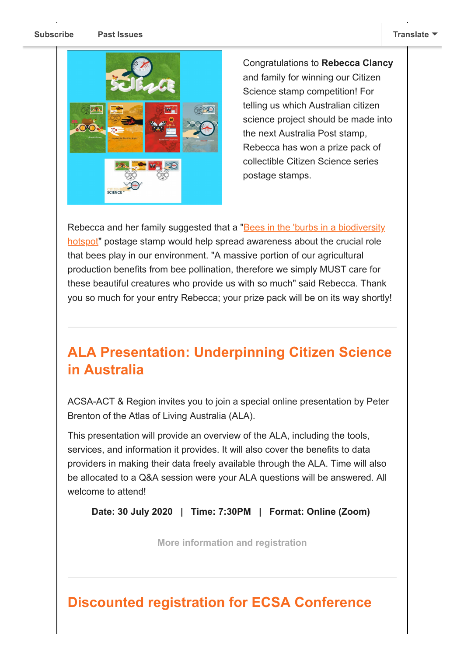**[Subscribe](http://eepurl.com/gr6ouP) Past Issues [Translate](javascript:;)**



Congratulations to **Rebecca Clancy** and family for winning our Citizen Science stamp competition! For telling us which Australian citizen science project should be made into the next Australia Post stamp, Rebecca has won a prize pack of collectible Citizen Science series postage stamps.

[Rebecca and her family suggested that a "Bees in the 'burbs in a biodiversity](https://scistarter.org/bees-in-the-burbs-in-a-biodiversity-hotspot) hotspot" postage stamp would help spread awareness about the crucial role that bees play in our environment. "A massive portion of our agricultural production benefits from bee pollination, therefore we simply MUST care for these beautiful creatures who provide us with so much" said Rebecca. Thank you so much for your entry Rebecca; your prize pack will be on its way shortly!

# **ALA Presentation: Underpinning Citizen Science in Australia**

ACSA-ACT & Region invites you to join a special online presentation by Peter Brenton of the Atlas of Living Australia (ALA).

This presentation will provide an overview of the ALA, including the tools, services, and information it provides. It will also cover the benefits to data providers in making their data freely available through the ALA. Time will also be allocated to a Q&A session were your ALA questions will be answered. All welcome to attend!

**Date: 30 July 2020 | Time: 7:30PM | Format: Online (Zoom)** 

**[More information and registration](https://citizenscience.org.au/2020/07/15/ala-presentation-underpinning-citizen-science-in-australia/)**

## **Discounted registration for ECSA Conference**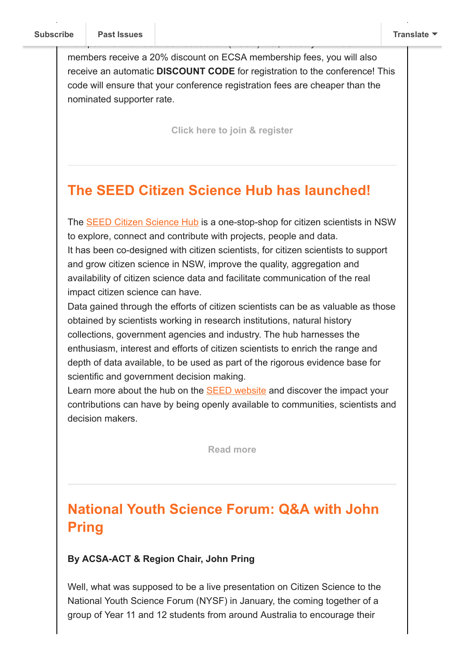members receive a 20% discount on ECSA membership fees, you will also receive an automatic **DISCOUNT CODE** for registration to the conference! This code will ensure that your conference registration fees are cheaper than the nominated supporter rate.

European Citizen Science Association (ECSA) first, not only will ACSA

**[Click here to join & register](https://ecsa.citizen-science.net/engage)**

## **The SEED Citizen Science Hub has launched!**

The [SEED Citizen Science Hub](https://citizen-science.seed.nsw.gov.au/) is a one-stop-shop for citizen scientists in NSW to explore, connect and contribute with projects, people and data. It has been co-designed with citizen scientists, for citizen scientists to support and grow citizen science in NSW, improve the quality, aggregation and availability of citizen science data and facilitate communication of the real impact citizen science can have.

Data gained through the efforts of citizen scientists can be as valuable as those obtained by scientists working in research institutions, natural history collections, government agencies and industry. The hub harnesses the enthusiasm, interest and efforts of citizen scientists to enrich the range and depth of data available, to be used as part of the rigorous evidence base for scientific and government decision making.

Learn more about the hub on the [SEED website](https://citizen-science.seed.nsw.gov.au/) and discover the impact your contributions can have by being openly available to communities, scientists and decision makers.

**[Read more](https://citizenscience.org.au/2020/07/17/seed-citizen-science-hub-launch/)**

# **National Youth Science Forum: Q&A with John Pring**

#### **By ACSA-ACT & Region Chair, John Pring**

Well, what was supposed to be a live presentation on Citizen Science to the National Youth Science Forum (NYSF) in January, the coming together of a group of Year 11 and 12 students from around Australia to encourage their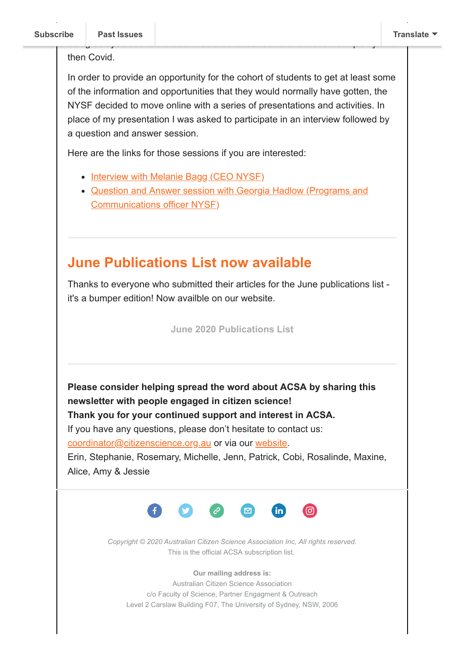#### then Covid.

In order to provide an opportunity for the cohort of students to get at least some of the information and opportunities that they would normally have gotten, the NYSF decided to move online with a series of presentations and activities. In place of my presentation I was asked to participate in an interview followed by a question and answer session.

being delayed due to the bushfires around Canberra and the low air quality and

Here are the links for those sessions if you are interested:

- [Interview with Melanie Bagg \(CEO NYSF\)](https://www.youtube.com/watch?time_continue=388&v=i7ynHJIosBA&feature=emb_logo)
- [Question and Answer session with Georgia Hadlow \(Programs and](https://www.youtube.com/watch?v=tMbCwqRnDaY&feature=youtu.be) Communications officer NYSF)

## **June Publications List now available**

Thanks to everyone who submitted their articles for the June publications list it's a bumper edition! Now availble on our website.

**[June 2020 Publications List](https://citizenscience.org.au/wp-content/uploads/2020/07/ACSA-Publications-Listing-No.-11_June-2020.pdf)**

**Please consider helping spread the word about ACSA by sharing this newsletter with people engaged in citizen science! Thank you for your continued support and interest in ACSA.**

If you have any questions, please don't hesitate to contact us:

[coordinator@citizenscience.org.au](mailto:coordinator@citizenscience.org.au) or via our [website.](http://csna.gaiaresources.com.au/wordpress/contact-us/)

Erin, Stephanie, Rosemary, Michelle, Jenn, Patrick, Cobi, Rosalinde, Maxine, Alice, Amy & Jessie



*Copyright © 2020 Australian Citizen Science Association Inc, All rights reserved.* This is the official ACSA subscription list.

**Our mailing address is:**

Australian Citizen Science Association c/o Faculty of Science, Partner Engagment & Outreach Level 2 Carslaw Building F07, The University of Sydney, NSW, 2006